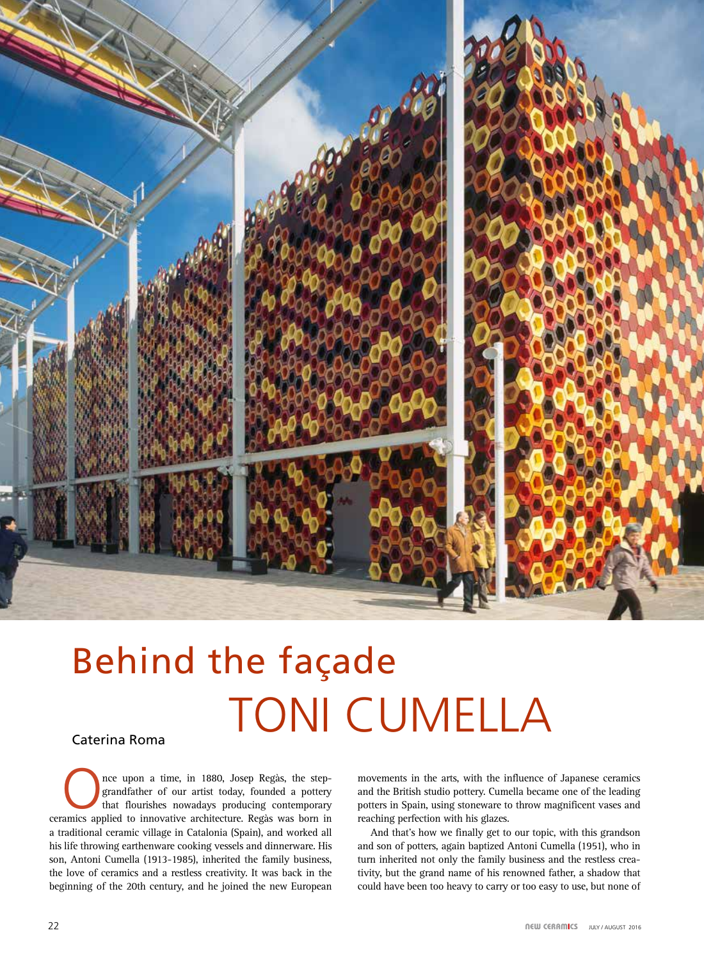

## TONI CUMELLA Behind the façade

## Caterina Roma

The upon a time, in 1880, Josep Regàs, the step-<br>grandfather of our artist today, founded a pottery<br>that flourishes nowadays producing contemporary grandfather of our artist today, founded a pottery that flourishes nowadays producing contemporary ceramics applied to innovative architecture. Regàs was born in a traditional ceramic village in Catalonia (Spain), and worked all his life throwing earthenware cooking vessels and dinnerware. His son, Antoni Cumella (1913-1985), inherited the family business, the love of ceramics and a restless creativity. It was back in the beginning of the 20th century, and he joined the new European

movements in the arts, with the influence of Japanese ceramics and the British studio pottery. Cumella became one of the leading potters in Spain, using stoneware to throw magnificent vases and reaching perfection with his glazes.

And that's how we finally get to our topic, with this grandson and son of potters, again baptized Antoni Cumella (1951), who in turn inherited not only the family business and the restless creativity, but the grand name of his renowned father, a shadow that could have been too heavy to carry or too easy to use, but none of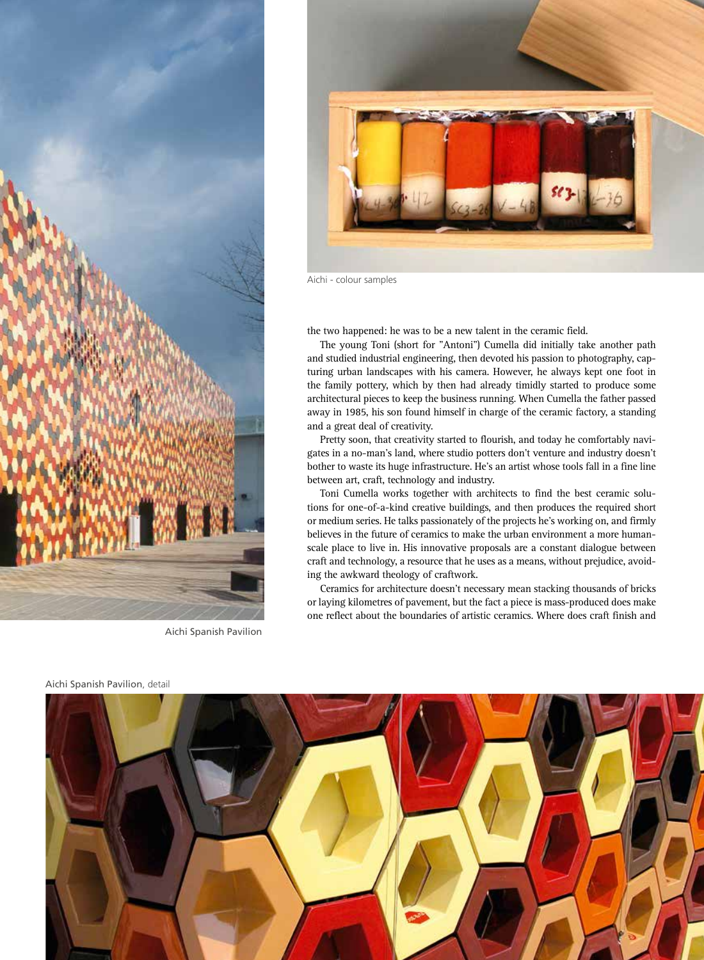

Aichi Spanish Pavilion



Aichi - colour samples

the two happened: he was to be a new talent in the ceramic field.

The young Toni (short for "Antoni") Cumella did initially take another path and studied industrial engineering, then devoted his passion to photography, capturing urban landscapes with his camera. However, he always kept one foot in the family pottery, which by then had already timidly started to produce some architectural pieces to keep the business running. When Cumella the father passed away in 1985, his son found himself in charge of the ceramic factory, a standing and a great deal of creativity.

Pretty soon, that creativity started to flourish, and today he comfortably navigates in a no-man's land, where studio potters don't venture and industry doesn't bother to waste its huge infrastructure. He's an artist whose tools fall in a fine line between art, craft, technology and industry.

Toni Cumella works together with architects to find the best ceramic solutions for one-of-a-kind creative buildings, and then produces the required short or medium series. He talks passionately of the projects he's working on, and firmly believes in the future of ceramics to make the urban environment a more humanscale place to live in. His innovative proposals are a constant dialogue between craft and technology, a resource that he uses as a means, without prejudice, avoiding the awkward theology of craftwork.

Ceramics for architecture doesn't necessary mean stacking thousands of bricks or laying kilometres of pavement, but the fact a piece is mass-produced does make one reflect about the boundaries of artistic ceramics. Where does craft finish and



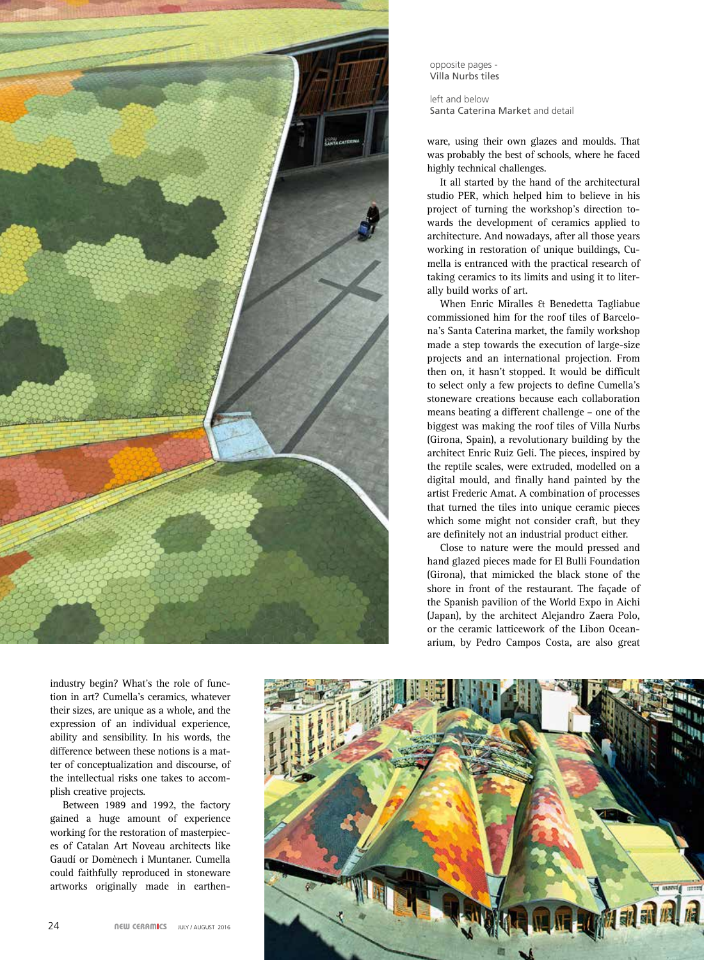

opposite pages - Villa Nurbs tiles

left and below Santa Caterina Market and detail

ware, using their own glazes and moulds. That was probably the best of schools, where he faced highly technical challenges.

It all started by the hand of the architectural studio PER, which helped him to believe in his project of turning the workshop's direction towards the development of ceramics applied to architecture. And nowadays, after all those years working in restoration of unique buildings, Cumella is entranced with the practical research of taking ceramics to its limits and using it to literally build works of art.

When Enric Miralles & Benedetta Tagliabue commissioned him for the roof tiles of Barcelona's Santa Caterina market, the family workshop made a step towards the execution of large-size projects and an international projection. From then on, it hasn't stopped. It would be difficult to select only a few projects to define Cumella's stoneware creations because each collaboration means beating a different challenge – one of the biggest was making the roof tiles of Villa Nurbs (Girona, Spain), a revolutionary building by the architect Enric Ruiz Geli. The pieces, inspired by the reptile scales, were extruded, modelled on a digital mould, and finally hand painted by the artist Frederic Amat. A combination of processes that turned the tiles into unique ceramic pieces which some might not consider craft, but they are definitely not an industrial product either.

Close to nature were the mould pressed and hand glazed pieces made for El Bulli Foundation (Girona), that mimicked the black stone of the shore in front of the restaurant. The façade of the Spanish pavilion of the World Expo in Aichi (Japan), by the architect Alejandro Zaera Polo, or the ceramic latticework of the Libon Oceanarium, by Pedro Campos Costa, are also great

industry begin? What's the role of function in art? Cumella's ceramics, whatever their sizes, are unique as a whole, and the expression of an individual experience, ability and sensibility. In his words, the difference between these notions is a matter of conceptualization and discourse, of the intellectual risks one takes to accomplish creative projects.

Between 1989 and 1992, the factory gained a huge amount of experience working for the restoration of masterpieces of Catalan Art Noveau architects like Gaudí or Domènech i Muntaner. Cumella could faithfully reproduced in stoneware artworks originally made in earthen-